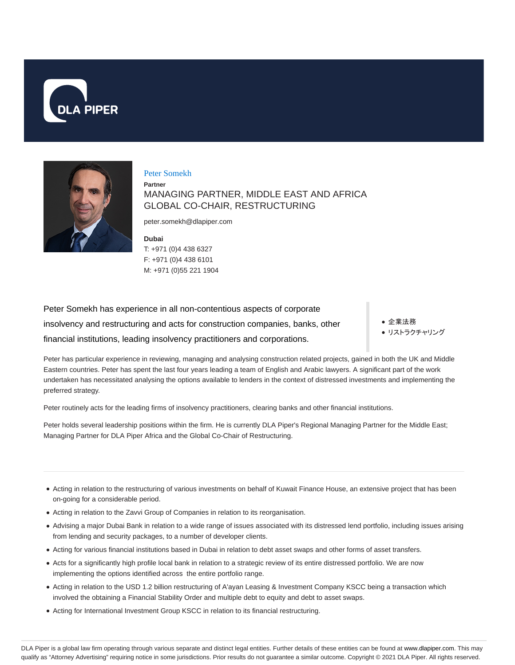



### Peter Somekh

**Partner** MANAGING PARTNER, MIDDLE EAST AND AFRICA GLOBAL CO-CHAIR, RESTRUCTURING

peter.somekh@dlapiper.com

**Dubai** T: +971 (0)4 438 6327 F: +971 (0)4 438 6101 M: +971 (0)55 221 1904

Peter Somekh has experience in all non-contentious aspects of corporate insolvency and restructuring and acts for construction companies, banks, other financial institutions, leading insolvency practitioners and corporations.

企業法務 リストラクチャリング

Peter has particular experience in reviewing, managing and analysing construction related projects, gained in both the UK and Middle Eastern countries. Peter has spent the last four years leading a team of English and Arabic lawyers. A significant part of the work undertaken has necessitated analysing the options available to lenders in the context of distressed investments and implementing the preferred strategy.

Peter routinely acts for the leading firms of insolvency practitioners, clearing banks and other financial institutions.

Peter holds several leadership positions within the firm. He is currently DLA Piper's Regional Managing Partner for the Middle East; Managing Partner for DLA Piper Africa and the Global Co-Chair of Restructuring.

- Acting in relation to the restructuring of various investments on behalf of Kuwait Finance House, an extensive project that has been on-going for a considerable period.
- Acting in relation to the Zavvi Group of Companies in relation to its reorganisation.
- Advising a major Dubai Bank in relation to a wide range of issues associated with its distressed lend portfolio, including issues arising from lending and security packages, to a number of developer clients.
- Acting for various financial institutions based in Dubai in relation to debt asset swaps and other forms of asset transfers.
- Acts for a significantly high profile local bank in relation to a strategic review of its entire distressed portfolio. We are now implementing the options identified across the entire portfolio range.
- Acting in relation to the USD 1.2 billion restructuring of A'ayan Leasing & Investment Company KSCC being a transaction which involved the obtaining a Financial Stability Order and multiple debt to equity and debt to asset swaps.
- Acting for International Investment Group KSCC in relation to its financial restructuring.